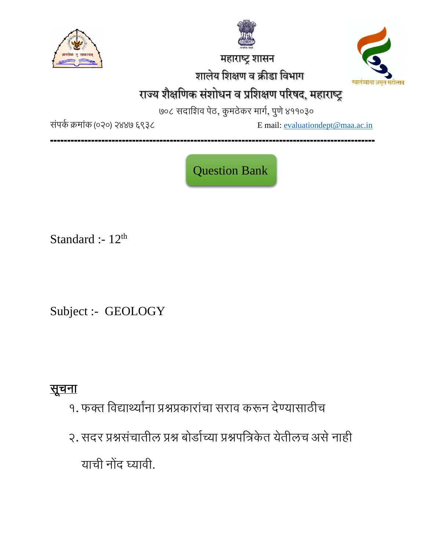

 महाराष्ट्र शासन शालेय शशक्षण व क्रीडा शवभाग



# राज्य शैक्षणिक संशोधन व प्रशिक्षण परिषद, महाराष्ट्र

७०८ सदाशिव पेठ, कुमठेकर मार्ग, पुणे ४११०३०

संपर्क क्रमांक (०२०) २४४७ ६९३८ Email: [evaluationdept@maa.ac.in](mailto:evaluationdept@maa.ac.in)

**-----------------------------------------------------------------------------------------------**

Question Bank

Standard :-  $12<sup>th</sup>$ 

Subject :- GEOLOGY

सूचना

- १. फक्त शवद्यार्थ्यांना प्रश्नप्रकारांचा सराव करून देण्यासाठीच
- २. सदर प्रश्नसंचातील प्रश्न बोर्डाच्या प्रश्नपत्रिकेत येतीलच असे नाही याची नोंद घ्यावी.

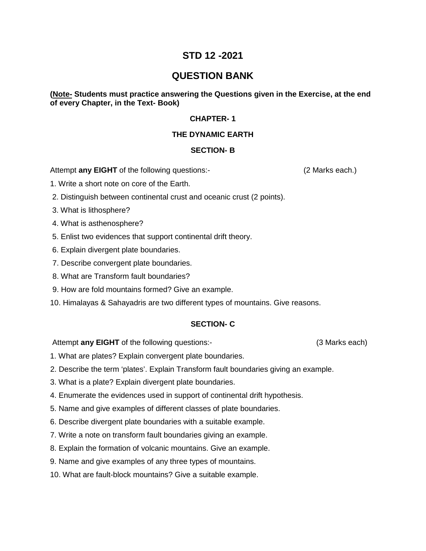# **STD 12 -2021**

# **QUESTION BANK**

## **(Note- Students must practice answering the Questions given in the Exercise, at the end of every Chapter, in the Text- Book)**

## **CHAPTER- 1**

## **THE DYNAMIC EARTH**

## **SECTION- B**

Attempt **any EIGHT** of the following questions:- (2 Marks each.)

1. Write a short note on core of the Earth.

- 2. Distinguish between continental crust and oceanic crust (2 points).
- 3. What is lithosphere?
- 4. What is asthenosphere?
- 5. Enlist two evidences that support continental drift theory.
- 6. Explain divergent plate boundaries.
- 7. Describe convergent plate boundaries.
- 8. What are Transform fault boundaries?
- 9. How are fold mountains formed? Give an example.
- 10. Himalayas & Sahayadris are two different types of mountains. Give reasons.

#### **SECTION- C**

Attempt **any EIGHT** of the following questions:- (3 Marks each)

1. What are plates? Explain convergent plate boundaries.

- 2. Describe the term 'plates'. Explain Transform fault boundaries giving an example.
- 3. What is a plate? Explain divergent plate boundaries.
- 4. Enumerate the evidences used in support of continental drift hypothesis.
- 5. Name and give examples of different classes of plate boundaries.
- 6. Describe divergent plate boundaries with a suitable example.
- 7. Write a note on transform fault boundaries giving an example.
- 8. Explain the formation of volcanic mountains. Give an example.
- 9. Name and give examples of any three types of mountains.
- 10. What are fault-block mountains? Give a suitable example.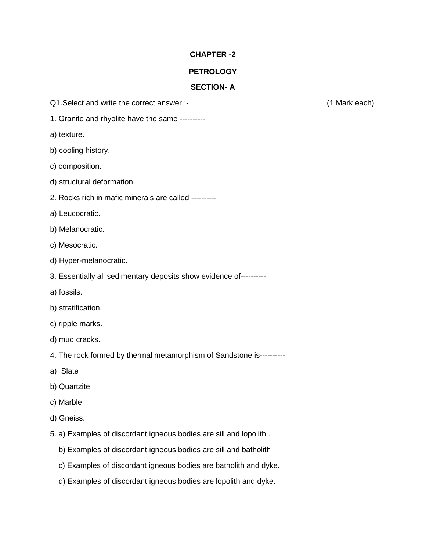## **PETROLOGY**

## **SECTION- A**

- Q1.Select and write the correct answer :- (1 Mark each)
- 1. Granite and rhyolite have the same ----------
- a) texture.
- b) cooling history.
- c) composition.
- d) structural deformation.
- 2. Rocks rich in mafic minerals are called ----------
- a) Leucocratic.
- b) Melanocratic.
- c) Mesocratic.
- d) Hyper-melanocratic.
- 3. Essentially all sedimentary deposits show evidence of----------
- a) fossils.
- b) stratification.
- c) ripple marks.
- d) mud cracks.
- 4. The rock formed by thermal metamorphism of Sandstone is----------
- a) Slate
- b) Quartzite
- c) Marble
- d) Gneiss.
- 5. a) Examples of discordant igneous bodies are sill and lopolith .
	- b) Examples of discordant igneous bodies are sill and batholith
	- c) Examples of discordant igneous bodies are batholith and dyke.
	- d) Examples of discordant igneous bodies are lopolith and dyke.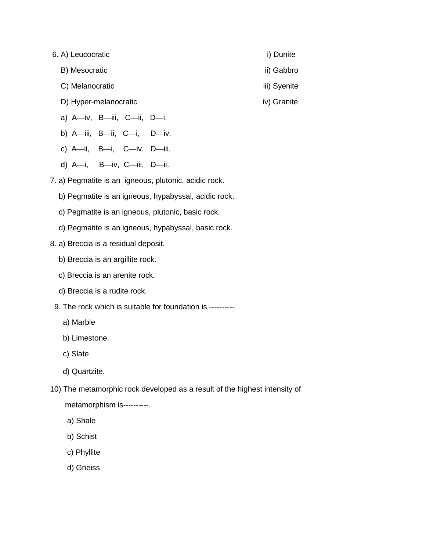- 6. A) Leucocratic i) Dunite
	- B) Mesocratic iii) Gabbro
	- C) Melanocratic iii) Syenite
	- D) Hyper-melanocratic iv) Granite
	- a) A—iv, B—iii, C—ii, D—i.
	- b) A—iii, B—ii, C—i, D—iv.
	- c) A—ii, B—i, C—iv, D—iii.
	- d) A—i, B—iv, C—iii, D—ii.
- 7. a) Pegmatite is an igneous, plutonic, acidic rock.
	- b) Pegmatite is an igneous, hypabyssal, acidic rock.
	- c) Pegmatite is an igneous, plutonic, basic rock.
	- d) Pegmatite is an igneous, hypabyssal, basic rock.
- 8. a) Breccia is a residual deposit.
	- b) Breccia is an argillite rock.
	- c) Breccia is an arenite rock.
	- d) Breccia is a rudite rock.
- 9. The rock which is suitable for foundation is ---------
	- a) Marble
	- b) Limestone.
	- c) Slate
	- d) Quartzite.
- 10) The metamorphic rock developed as a result of the highest intensity of
	- metamorphism is----------.
	- a) Shale
	- b) Schist
	- c) Phyllite
	- d) Gneiss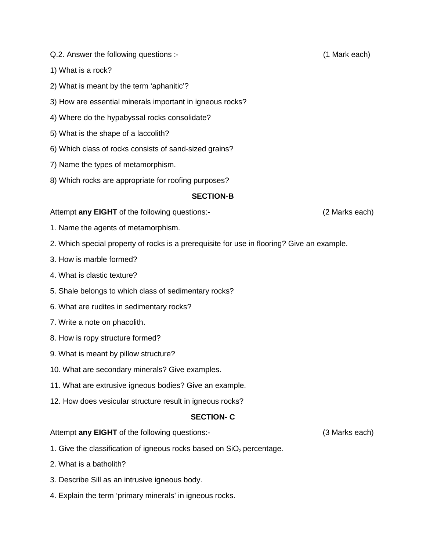- Q.2. Answer the following questions :- (1 Mark each)
- 1) What is a rock?
- 2) What is meant by the term 'aphanitic'?
- 3) How are essential minerals important in igneous rocks?
- 4) Where do the hypabyssal rocks consolidate?
- 5) What is the shape of a laccolith?
- 6) Which class of rocks consists of sand-sized grains?
- 7) Name the types of metamorphism.
- 8) Which rocks are appropriate for roofing purposes?

#### **SECTION-B**

#### Attempt **any EIGHT** of the following questions:- (2 Marks each)

- 1. Name the agents of metamorphism.
- 2. Which special property of rocks is a prerequisite for use in flooring? Give an example.
- 3. How is marble formed?
- 4. What is clastic texture?
- 5. Shale belongs to which class of sedimentary rocks?
- 6. What are rudites in sedimentary rocks?
- 7. Write a note on phacolith.
- 8. How is ropy structure formed?
- 9. What is meant by pillow structure?
- 10. What are secondary minerals? Give examples.
- 11. What are extrusive igneous bodies? Give an example.
- 12. How does vesicular structure result in igneous rocks?

#### **SECTION- C**

Attempt **any EIGHT** of the following questions:- (3 Marks each)

- 1. Give the classification of igneous rocks based on  $SiO<sub>2</sub>$  percentage.
- 2. What is a batholith?
- 3. Describe Sill as an intrusive igneous body.
- 4. Explain the term 'primary minerals' in igneous rocks.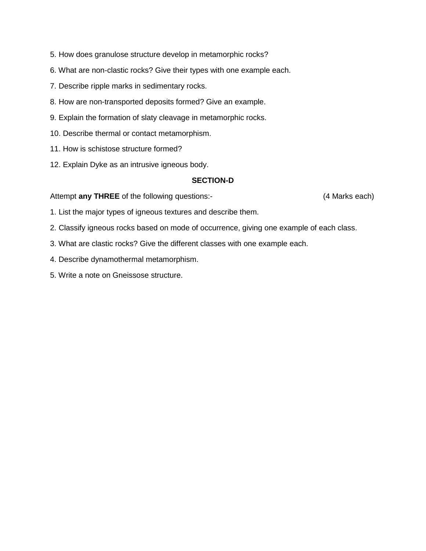- 5. How does granulose structure develop in metamorphic rocks?
- 6. What are non-clastic rocks? Give their types with one example each.
- 7. Describe ripple marks in sedimentary rocks.
- 8. How are non-transported deposits formed? Give an example.
- 9. Explain the formation of slaty cleavage in metamorphic rocks.
- 10. Describe thermal or contact metamorphism.
- 11. How is schistose structure formed?
- 12. Explain Dyke as an intrusive igneous body.

## **SECTION-D**

#### Attempt **any THREE** of the following questions:- (4 Marks each)

- 1. List the major types of igneous textures and describe them.
- 2. Classify igneous rocks based on mode of occurrence, giving one example of each class.
- 3. What are clastic rocks? Give the different classes with one example each.
- 4. Describe dynamothermal metamorphism.
- 5. Write a note on Gneissose structure.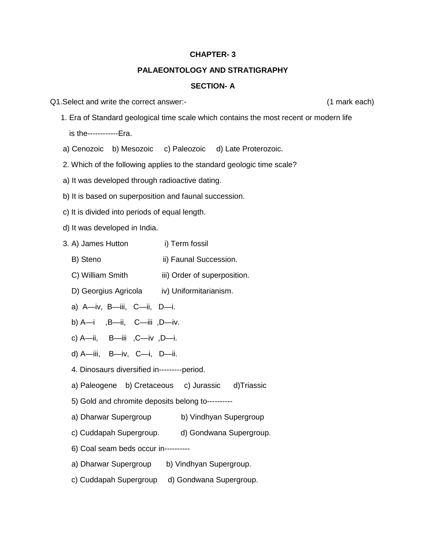#### **PALAEONTOLOGY AND STRATIGRAPHY**

## **SECTION- A**

- Q1.Select and write the correct answer:- (1 mark each)
	- 1. Era of Standard geological time scale which contains the most recent or modern life

is the------------Era.

- a) Cenozoic b) Mesozoic c) Paleozoic d) Late Proterozoic.
- 2. Which of the following applies to the standard geologic time scale?
- a) It was developed through radioactive dating.
- b) It is based on superposition and faunal succession.
- c) It is divided into periods of equal length.
- d) It was developed in India.
- 3. A) James Hutton i) Term fossil
	- B) Steno ii) Faunal Succession.
	- C) William Smith iii) Order of superposition.
	- D) Georgius Agricola iv) Uniformitarianism.
	- a) A—iv, B—iii, C—ii, D—i.
	- b) A—i ,B—ii, C—iii ,D—iv.
	- c) A—ii, B—iii ,C—iv ,D—i.
	- d) A—iii, B—iv, C—i, D—ii.
	- 4. Dinosaurs diversified in---------period.
	- a) Paleogene b) Cretaceous c) Jurassic d)Triassic
	- 5) Gold and chromite deposits belong to----------
	- a) Dharwar Supergroup b) Vindhyan Supergroup
	- c) Cuddapah Supergroup. d) Gondwana Supergroup.
	- 6) Coal seam beds occur in----------
	- a) Dharwar Supergroup b) Vindhyan Supergroup.
	- c) Cuddapah Supergroup d) Gondwana Supergroup.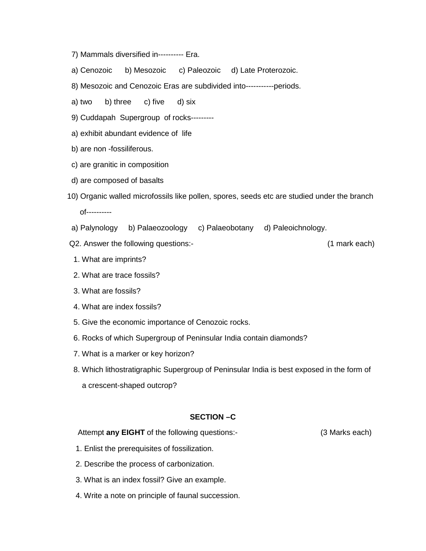- 7) Mammals diversified in---------- Era.
- a) Cenozoic b) Mesozoic c) Paleozoic d) Late Proterozoic.
- 8) Mesozoic and Cenozoic Eras are subdivided into-----------periods.
- a) two b) three c) five d) six
- 9) Cuddapah Supergroup of rocks---------
- a) exhibit abundant evidence of life
- b) are non -fossiliferous.
- c) are granitic in composition
- d) are composed of basalts
- 10) Organic walled microfossils like pollen, spores, seeds etc are studied under the branch of----------
- a) Palynology b) Palaeozoology c) Palaeobotany d) Paleoichnology.
- Q2. Answer the following questions:- (1 mark each)

- 1. What are imprints?
- 2. What are trace fossils?
- 3. What are fossils?
- 4. What are index fossils?
- 5. Give the economic importance of Cenozoic rocks.
- 6. Rocks of which Supergroup of Peninsular India contain diamonds?
- 7. What is a marker or key horizon?
- 8. Which lithostratigraphic Supergroup of Peninsular India is best exposed in the form of a crescent-shaped outcrop?

#### **SECTION –C**

Attempt **any EIGHT** of the following questions:- (3 Marks each)

- 1. Enlist the prerequisites of fossilization.
- 2. Describe the process of carbonization.
- 3. What is an index fossil? Give an example.
- 4. Write a note on principle of faunal succession.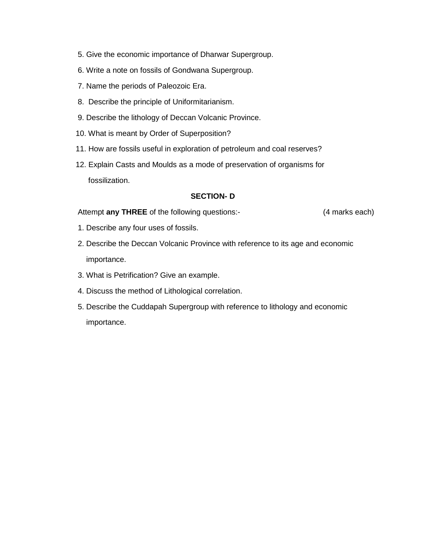- 5. Give the economic importance of Dharwar Supergroup.
- 6. Write a note on fossils of Gondwana Supergroup.
- 7. Name the periods of Paleozoic Era.
- 8. Describe the principle of Uniformitarianism.
- 9. Describe the lithology of Deccan Volcanic Province.
- 10. What is meant by Order of Superposition?
- 11. How are fossils useful in exploration of petroleum and coal reserves?
- 12. Explain Casts and Moulds as a mode of preservation of organisms for fossilization.

## **SECTION- D**

Attempt **any THREE** of the following questions:- (4 marks each)

- 1. Describe any four uses of fossils.
- 2. Describe the Deccan Volcanic Province with reference to its age and economic importance.
- 3. What is Petrification? Give an example.
- 4. Discuss the method of Lithological correlation.
- 5. Describe the Cuddapah Supergroup with reference to lithology and economic importance.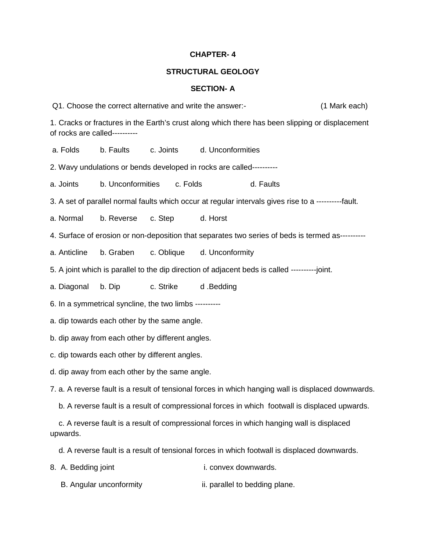#### **STRUCTURAL GEOLOGY**

#### **SECTION- A**

Q1. Choose the correct alternative and write the answer:- (1 Mark each)

1. Cracks or fractures in the Earth's crust along which there has been slipping or displacement of rocks are called----------

a. Folds b. Faults c. Joints d. Unconformities

2. Wavy undulations or bends developed in rocks are called----------

a. Joints b. Unconformities c. Folds and d. Faults

3. A set of parallel normal faults which occur at regular intervals gives rise to a ----------fault.

a. Normal b. Reverse c. Step d. Horst

4. Surface of erosion or non-deposition that separates two series of beds is termed as----------

a. Anticline b. Graben c. Oblique d. Unconformity

5. A joint which is parallel to the dip direction of adjacent beds is called ----------joint.

a. Diagonal b. Dip c. Strike d .Bedding

6. In a symmetrical syncline, the two limbs ----------

a. dip towards each other by the same angle.

b. dip away from each other by different angles.

c. dip towards each other by different angles.

d. dip away from each other by the same angle.

7. a. A reverse fault is a result of tensional forces in which hanging wall is displaced downwards.

b. A reverse fault is a result of compressional forces in which footwall is displaced upwards.

c. A reverse fault is a result of compressional forces in which hanging wall is displaced upwards.

d. A reverse fault is a result of tensional forces in which footwall is displaced downwards.

8. A. Bedding joint i. convex downwards.

B. Angular unconformity ii. parallel to bedding plane.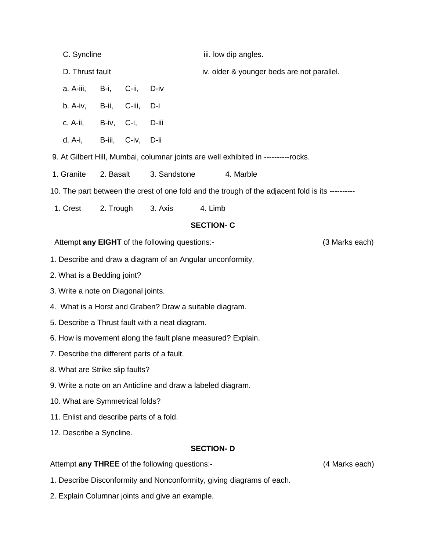|                                                                                                 | C. Syncline                                          |           |          |         |                                            | iii. low dip angles. |  |  |  |  |
|-------------------------------------------------------------------------------------------------|------------------------------------------------------|-----------|----------|---------|--------------------------------------------|----------------------|--|--|--|--|
|                                                                                                 | D. Thrust fault                                      |           |          |         | iv. older & younger beds are not parallel. |                      |  |  |  |  |
|                                                                                                 | a. A-iii,                                            | B-i,      | C-ii,    | D-iv    |                                            |                      |  |  |  |  |
|                                                                                                 | b. A-iv,                                             | B-ii,     | C-iii,   | D-i     |                                            |                      |  |  |  |  |
|                                                                                                 | c. A-ii,                                             | B-iv,     | $C$ -i,  | D-iii   |                                            |                      |  |  |  |  |
|                                                                                                 | d. A-i,                                              | B-iii,    | $C$ -iv, | D-ii    |                                            |                      |  |  |  |  |
| 9. At Gilbert Hill, Mumbai, columnar joints are well exhibited in ----------rocks.              |                                                      |           |          |         |                                            |                      |  |  |  |  |
|                                                                                                 | 3. Sandstone<br>1. Granite<br>2. Basalt<br>4. Marble |           |          |         |                                            |                      |  |  |  |  |
| 10. The part between the crest of one fold and the trough of the adjacent fold is its --------- |                                                      |           |          |         |                                            |                      |  |  |  |  |
|                                                                                                 | 1. Crest                                             | 2. Trough |          | 3. Axis | 4. Limb                                    |                      |  |  |  |  |
| <b>SECTION-C</b>                                                                                |                                                      |           |          |         |                                            |                      |  |  |  |  |
| (3 Marks each)<br>Attempt any EIGHT of the following questions:-                                |                                                      |           |          |         |                                            |                      |  |  |  |  |
| 1. Describe and draw a diagram of an Angular unconformity.                                      |                                                      |           |          |         |                                            |                      |  |  |  |  |
| 2. What is a Bedding joint?                                                                     |                                                      |           |          |         |                                            |                      |  |  |  |  |
| 3. Write a note on Diagonal joints.                                                             |                                                      |           |          |         |                                            |                      |  |  |  |  |
| 4. What is a Horst and Graben? Draw a suitable diagram.                                         |                                                      |           |          |         |                                            |                      |  |  |  |  |
| 5. Describe a Thrust fault with a neat diagram.                                                 |                                                      |           |          |         |                                            |                      |  |  |  |  |
| 6. How is movement along the fault plane measured? Explain.                                     |                                                      |           |          |         |                                            |                      |  |  |  |  |
| 7. Describe the different parts of a fault.                                                     |                                                      |           |          |         |                                            |                      |  |  |  |  |
| 8. What are Strike slip faults?                                                                 |                                                      |           |          |         |                                            |                      |  |  |  |  |
| 9. Write a note on an Anticline and draw a labeled diagram.                                     |                                                      |           |          |         |                                            |                      |  |  |  |  |
| 10. What are Symmetrical folds?                                                                 |                                                      |           |          |         |                                            |                      |  |  |  |  |
| 11. Enlist and describe parts of a fold.                                                        |                                                      |           |          |         |                                            |                      |  |  |  |  |
| 12. Describe a Syncline.                                                                        |                                                      |           |          |         |                                            |                      |  |  |  |  |
| <b>SECTION-D</b>                                                                                |                                                      |           |          |         |                                            |                      |  |  |  |  |
| Attempt any THREE of the following questions:-<br>(4 Marks each)                                |                                                      |           |          |         |                                            |                      |  |  |  |  |

- 1. Describe Disconformity and Nonconformity, giving diagrams of each.
- 2. Explain Columnar joints and give an example.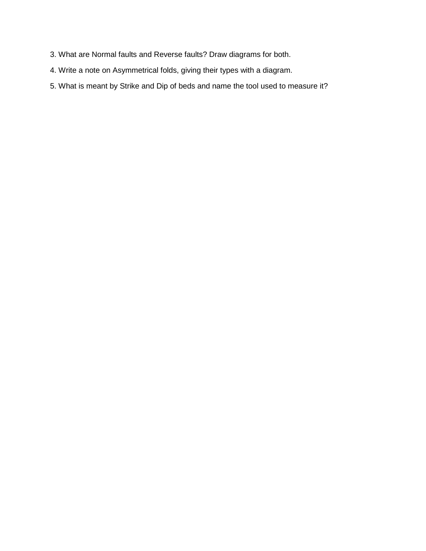- 3. What are Normal faults and Reverse faults? Draw diagrams for both.
- 4. Write a note on Asymmetrical folds, giving their types with a diagram.
- 5. What is meant by Strike and Dip of beds and name the tool used to measure it?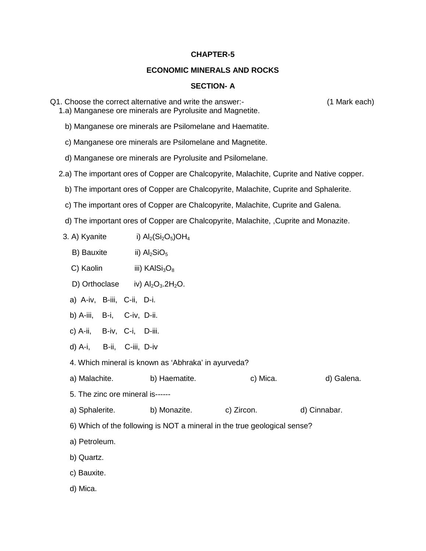#### **ECONOMIC MINERALS AND ROCKS**

#### **SECTION- A**

Q1. Choose the correct alternative and write the answer:- (1 Mark each)

b) Manganese ore minerals are Psilomelane and Haematite.

1.a) Manganese ore minerals are Pyrolusite and Magnetite.

- c) Manganese ore minerals are Psilomelane and Magnetite.
- d) Manganese ore minerals are Pyrolusite and Psilomelane.
- 2.a) The important ores of Copper are Chalcopyrite, Malachite, Cuprite and Native copper.
	- b) The important ores of Copper are Chalcopyrite, Malachite, Cuprite and Sphalerite.
	- c) The important ores of Copper are Chalcopyrite, Malachite, Cuprite and Galena.
	- d) The important ores of Copper are Chalcopyrite, Malachite, ,Cuprite and Monazite.
	- 3. A) Kyanite i)  $\text{Al}_2(\text{Si}_2\text{O}_5)\text{OH}_4$ 
		- B) Bauxite ii)  $Al<sub>2</sub>SiO<sub>5</sub>$
		- C) Kaolin iii) KAl $Si<sub>3</sub>O<sub>8</sub>$
		- D) Orthoclase iv)  $Al_2O_3.2H_2O$ .
		- a) A-iv, B-iii, C-ii, D-i.
		- b) A-iii, B-i, C-iv, D-ii.
		- c) A-ii, B-iv, C-i, D-iii.
		- d) A-i, B-ii, C-iii, D-iv

4. Which mineral is known as 'Abhraka' in ayurveda?

- a) Malachite. b) Haematite. c) Mica. d) Galena.
- 5. The zinc ore mineral is------
- a) Sphalerite. b) Monazite. c) Zircon. d) Cinnabar.
- 6) Which of the following is NOT a mineral in the true geological sense?
- a) Petroleum.
- b) Quartz.
- c) Bauxite.
- d) Mica.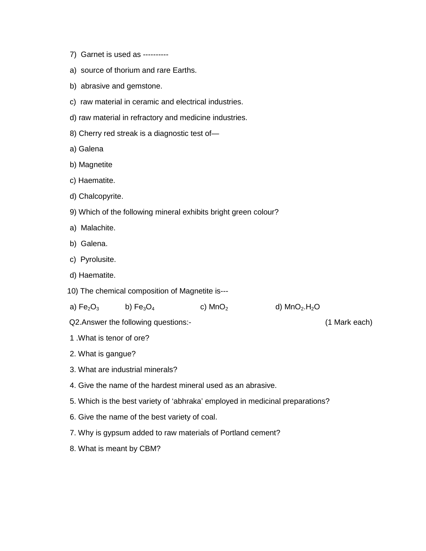- 7) Garnet is used as ----------
- a) source of thorium and rare Earths.
- b) abrasive and gemstone.
- c) raw material in ceramic and electrical industries.
- d) raw material in refractory and medicine industries.
- 8) Cherry red streak is a diagnostic test of—
- a) Galena
- b) Magnetite
- c) Haematite.
- d) Chalcopyrite.
- 9) Which of the following mineral exhibits bright green colour?
- a) Malachite.
- b) Galena.
- c) Pyrolusite.
- d) Haematite.
- 10) The chemical composition of Magnetite is---
- a)  $Fe<sub>2</sub>O<sub>3</sub>$  b)  $Fe<sub>3</sub>O<sub>4</sub>$  c) MnO<sub>2</sub> d) MnO<sub>2</sub>.H<sub>2</sub>O

Q2.Answer the following questions:- (1 Mark each)

- 1 .What is tenor of ore?
- 2. What is gangue?
- 3. What are industrial minerals?
- 4. Give the name of the hardest mineral used as an abrasive.
- 5. Which is the best variety of 'abhraka' employed in medicinal preparations?
- 6. Give the name of the best variety of coal.
- 7. Why is gypsum added to raw materials of Portland cement?
- 8. What is meant by CBM?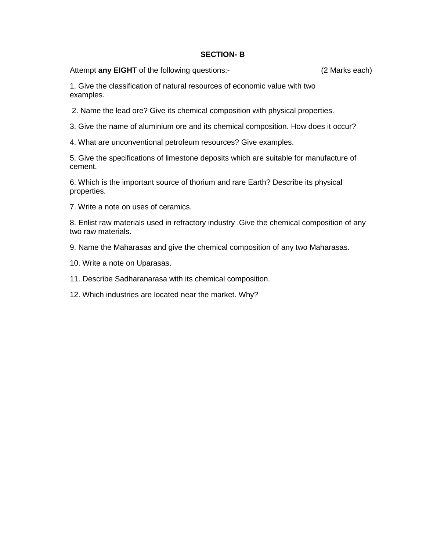## **SECTION- B**

Attempt **any EIGHT** of the following questions:- (2 Marks each)

1. Give the classification of natural resources of economic value with two examples.

- 2. Name the lead ore? Give its chemical composition with physical properties.
- 3. Give the name of aluminium ore and its chemical composition. How does it occur?
- 4. What are unconventional petroleum resources? Give examples.

5. Give the specifications of limestone deposits which are suitable for manufacture of cement.

6. Which is the important source of thorium and rare Earth? Describe its physical properties.

7. Write a note on uses of ceramics.

8. Enlist raw materials used in refractory industry .Give the chemical composition of any two raw materials.

- 9. Name the Maharasas and give the chemical composition of any two Maharasas.
- 10. Write a note on Uparasas.
- 11. Describe Sadharanarasa with its chemical composition.
- 12. Which industries are located near the market. Why?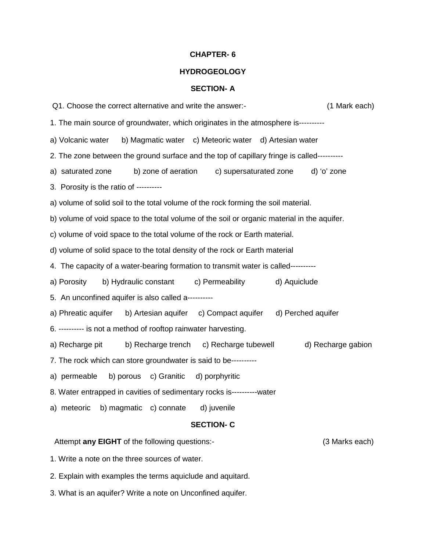## **HYDROGEOLOGY**

## **SECTION- A**

| Q1. Choose the correct alternative and write the answer:-<br>(1 Mark each)                  |                    |  |  |  |  |  |  |  |
|---------------------------------------------------------------------------------------------|--------------------|--|--|--|--|--|--|--|
| 1. The main source of groundwater, which originates in the atmosphere is---------           |                    |  |  |  |  |  |  |  |
| b) Magmatic water c) Meteoric water d) Artesian water<br>a) Volcanic water                  |                    |  |  |  |  |  |  |  |
| 2. The zone between the ground surface and the top of capillary fringe is called----------  |                    |  |  |  |  |  |  |  |
| b) zone of aeration<br>c) supersaturated zone<br>a) saturated zone                          | d) 'o' zone        |  |  |  |  |  |  |  |
| 3. Porosity is the ratio of ----------                                                      |                    |  |  |  |  |  |  |  |
| a) volume of solid soil to the total volume of the rock forming the soil material.          |                    |  |  |  |  |  |  |  |
| b) volume of void space to the total volume of the soil or organic material in the aquifer. |                    |  |  |  |  |  |  |  |
| c) volume of void space to the total volume of the rock or Earth material.                  |                    |  |  |  |  |  |  |  |
| d) volume of solid space to the total density of the rock or Earth material                 |                    |  |  |  |  |  |  |  |
| 4. The capacity of a water-bearing formation to transmit water is called----------          |                    |  |  |  |  |  |  |  |
| a) Porosity<br>b) Hydraulic constant<br>c) Permeability                                     | d) Aquiclude       |  |  |  |  |  |  |  |
| 5. An unconfined aquifer is also called a----------                                         |                    |  |  |  |  |  |  |  |
| a) Phreatic aquifer<br>b) Artesian aquifer c) Compact aquifer d) Perched aquifer            |                    |  |  |  |  |  |  |  |
| 6. ---------- is not a method of rooftop rainwater harvesting.                              |                    |  |  |  |  |  |  |  |
| a) Recharge pit<br>b) Recharge trench<br>c) Recharge tubewell                               | d) Recharge gabion |  |  |  |  |  |  |  |
| 7. The rock which can store groundwater is said to be----------                             |                    |  |  |  |  |  |  |  |
| b) porous c) Granitic<br>a) permeable<br>d) porphyritic                                     |                    |  |  |  |  |  |  |  |
| 8. Water entrapped in cavities of sedimentary rocks is---------- water                      |                    |  |  |  |  |  |  |  |
| a) meteoric<br>b) magmatic c) connate<br>d) juvenile                                        |                    |  |  |  |  |  |  |  |
| <b>SECTION-C</b>                                                                            |                    |  |  |  |  |  |  |  |
| Attempt any EIGHT of the following questions:-                                              | (3 Marks each)     |  |  |  |  |  |  |  |
| 1. Write a note on the three sources of water.                                              |                    |  |  |  |  |  |  |  |

2. Explain with examples the terms aquiclude and aquitard.

3. What is an aquifer? Write a note on Unconfined aquifer.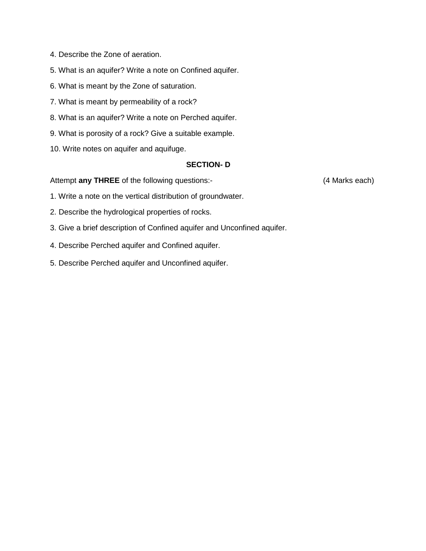- 4. Describe the Zone of aeration.
- 5. What is an aquifer? Write a note on Confined aquifer.
- 6. What is meant by the Zone of saturation.
- 7. What is meant by permeability of a rock?
- 8. What is an aquifer? Write a note on Perched aquifer.
- 9. What is porosity of a rock? Give a suitable example.
- 10. Write notes on aquifer and aquifuge.

## **SECTION- D**

Attempt **any THREE** of the following questions:- (4 Marks each)

- 1. Write a note on the vertical distribution of groundwater.
- 2. Describe the hydrological properties of rocks.
- 3. Give a brief description of Confined aquifer and Unconfined aquifer.
- 4. Describe Perched aquifer and Confined aquifer.
- 5. Describe Perched aquifer and Unconfined aquifer.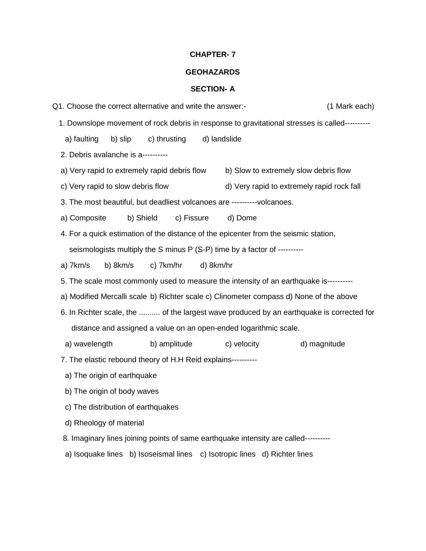#### **GEOHAZARDS**

#### **SECTION- A**

Q1. Choose the correct alternative and write the answer:- (1 Mark each) 1. Downslope movement of rock debris in response to gravitational stresses is called--------- a) faulting b) slip c) thrusting d) landslide 2. Debris avalanche is a--------- a) Very rapid to extremely rapid debris flow b) Slow to extremely slow debris flow c) Very rapid to slow debris flow discussed d) Very rapid to extremely rapid rock fall 3. The most beautiful, but deadliest volcanoes are ----------volcanoes. a) Composite b) Shield c) Fissure d) Dome 4. For a quick estimation of the distance of the epicenter from the seismic station, seismologists multiply the S minus P (S-P) time by a factor of --------- a) 7km/s b) 8km/s c) 7km/hr d) 8km/hr 5. The scale most commonly used to measure the intensity of an earthquake is--------- a) Modified Mercalli scale b) Richter scale c) Clinometer compass d) None of the above 6. In Richter scale, the .......... of the largest wave produced by an earthquake is corrected for distance and assigned a value on an open-ended logarithmic scale. a) wavelength b) amplitude c) velocity d) magnitude 7. The elastic rebound theory of H.H Reid explains--------- a) The origin of earthquake b) The origin of body waves c) The distribution of earthquakes d) Rheology of material 8. Imaginary lines joining points of same earthquake intensity are called--------- a) Isoquake lines b) Isoseismal lines c) Isotropic lines d) Richter lines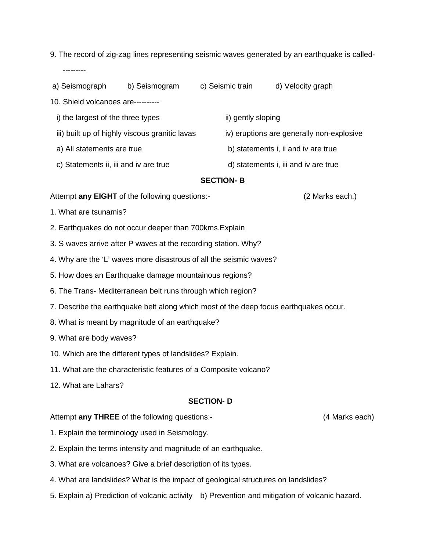- 9. The record of zig-zag lines representing seismic waves generated by an earthquake is called- ---------
- a) Seismograph b) Seismogram c) Seismic train d) Velocity graph

10. Shield volcanoes are----------

- i) the largest of the three types ii) gently sloping
- iii) built up of highly viscous granitic lavas iv) eruptions are generally non-explosive
- a) All statements are true b) statements i, ii and iv are true
- c) Statements ii, iii and iv are true d) statements i, iii and iv are true

**SECTION- B**

Attempt **any EIGHT** of the following questions:- (2 Marks each.)

- 1. What are tsunamis?
- 2. Earthquakes do not occur deeper than 700kms.Explain
- 3. S waves arrive after P waves at the recording station. Why?
- 4. Why are the 'L' waves more disastrous of all the seismic waves?
- 5. How does an Earthquake damage mountainous regions?
- 6. The Trans- Mediterranean belt runs through which region?
- 7. Describe the earthquake belt along which most of the deep focus earthquakes occur.
- 8. What is meant by magnitude of an earthquake?
- 9. What are body waves?
- 10. Which are the different types of landslides? Explain.
- 11. What are the characteristic features of a Composite volcano?
- 12. What are Lahars?

#### **SECTION- D**

#### Attempt **any THREE** of the following questions:- (4 Marks each)

- 1. Explain the terminology used in Seismology.
- 2. Explain the terms intensity and magnitude of an earthquake.
- 3. What are volcanoes? Give a brief description of its types.
- 4. What are landslides? What is the impact of geological structures on landslides?
- 5. Explain a) Prediction of volcanic activity b) Prevention and mitigation of volcanic hazard.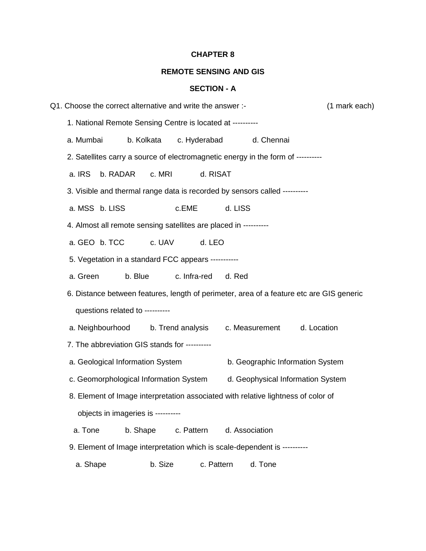## **REMOTE SENSING AND GIS**

## **SECTION - A**

| (1 mark each)<br>Q1. Choose the correct alternative and write the answer :-                                                |                                                                                  |            |              |                                   |            |                                  |  |  |
|----------------------------------------------------------------------------------------------------------------------------|----------------------------------------------------------------------------------|------------|--------------|-----------------------------------|------------|----------------------------------|--|--|
|                                                                                                                            | 1. National Remote Sensing Centre is located at ---------                        |            |              |                                   |            |                                  |  |  |
|                                                                                                                            | a. Mumbai                                                                        | b. Kolkata | c. Hyderabad |                                   | d. Chennai |                                  |  |  |
|                                                                                                                            | 2. Satellites carry a source of electromagnetic energy in the form of ---------- |            |              |                                   |            |                                  |  |  |
|                                                                                                                            | a. IRS<br>b. RADAR                                                               | c. MRI     | d. RISAT     |                                   |            |                                  |  |  |
|                                                                                                                            | 3. Visible and thermal range data is recorded by sensors called ---------        |            |              |                                   |            |                                  |  |  |
|                                                                                                                            | a. MSS b. LISS                                                                   |            | c.EME        | d. LISS                           |            |                                  |  |  |
|                                                                                                                            | 4. Almost all remote sensing satellites are placed in ---------                  |            |              |                                   |            |                                  |  |  |
|                                                                                                                            | a. GEO b. TCC                                                                    | c. UAV     | d. LEO       |                                   |            |                                  |  |  |
| 5. Vegetation in a standard FCC appears ----------                                                                         |                                                                                  |            |              |                                   |            |                                  |  |  |
|                                                                                                                            | a. Green                                                                         | b. Blue    | c. Infra-red | d. Red                            |            |                                  |  |  |
| 6. Distance between features, length of perimeter, area of a feature etc are GIS generic<br>questions related to --------- |                                                                                  |            |              |                                   |            |                                  |  |  |
|                                                                                                                            |                                                                                  |            |              |                                   |            |                                  |  |  |
| 7. The abbreviation GIS stands for ----------                                                                              |                                                                                  |            |              |                                   |            |                                  |  |  |
|                                                                                                                            | a. Geological Information System                                                 |            |              |                                   |            | b. Geographic Information System |  |  |
|                                                                                                                            | c. Geomorphological Information System                                           |            |              | d. Geophysical Information System |            |                                  |  |  |
| 8. Element of Image interpretation associated with relative lightness of color of                                          |                                                                                  |            |              |                                   |            |                                  |  |  |
| objects in imageries is ----------                                                                                         |                                                                                  |            |              |                                   |            |                                  |  |  |
|                                                                                                                            | a. Tone                                                                          | b. Shape   | c. Pattern   | d. Association                    |            |                                  |  |  |
|                                                                                                                            | 9. Element of Image interpretation which is scale-dependent is ---------         |            |              |                                   |            |                                  |  |  |
|                                                                                                                            | a. Shape                                                                         | b. Size    |              | c. Pattern                        | d. Tone    |                                  |  |  |